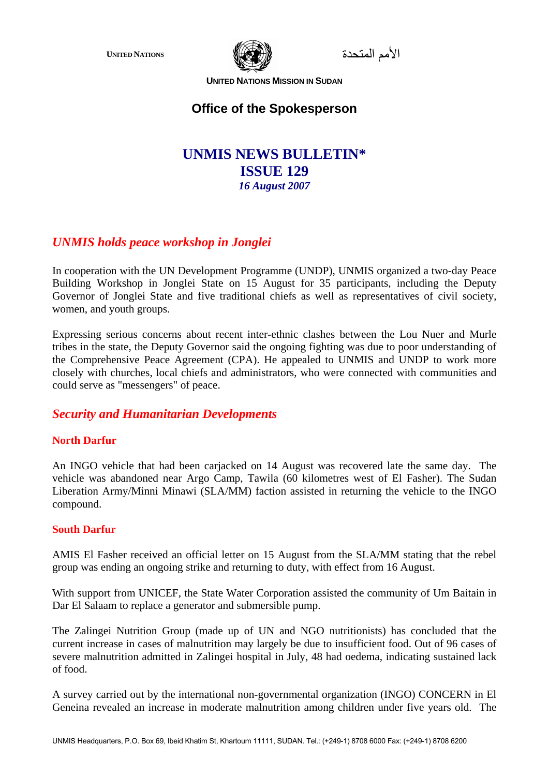

الأمم المتحدة **NATIONS UNITED**

**UNITED NATIONS MISSION IN SUDAN**

# **Office of the Spokesperson**

# **UNMIS NEWS BULLETIN\* ISSUE 129**  *16 August 2007*

# *UNMIS holds peace workshop in Jonglei*

In cooperation with the UN Development Programme (UNDP), UNMIS organized a two-day Peace Building Workshop in Jonglei State on 15 August for 35 participants, including the Deputy Governor of Jonglei State and five traditional chiefs as well as representatives of civil society, women, and youth groups.

Expressing serious concerns about recent inter-ethnic clashes between the Lou Nuer and Murle tribes in the state, the Deputy Governor said the ongoing fighting was due to poor understanding of the Comprehensive Peace Agreement (CPA). He appealed to UNMIS and UNDP to work more closely with churches, local chiefs and administrators, who were connected with communities and could serve as "messengers" of peace.

## *Security and Humanitarian Developments*

## **North Darfur**

An INGO vehicle that had been carjacked on 14 August was recovered late the same day. The vehicle was abandoned near Argo Camp, Tawila (60 kilometres west of El Fasher). The Sudan Liberation Army/Minni Minawi (SLA/MM) faction assisted in returning the vehicle to the INGO compound.

#### **South Darfur**

AMIS El Fasher received an official letter on 15 August from the SLA/MM stating that the rebel group was ending an ongoing strike and returning to duty, with effect from 16 August.

With support from UNICEF, the State Water Corporation assisted the community of Um Baitain in Dar El Salaam to replace a generator and submersible pump.

The Zalingei Nutrition Group (made up of UN and NGO nutritionists) has concluded that the current increase in cases of malnutrition may largely be due to insufficient food. Out of 96 cases of severe malnutrition admitted in Zalingei hospital in July, 48 had oedema, indicating sustained lack of food.

A survey carried out by the international non-governmental organization (INGO) CONCERN in El Geneina revealed an increase in moderate malnutrition among children under five years old. The